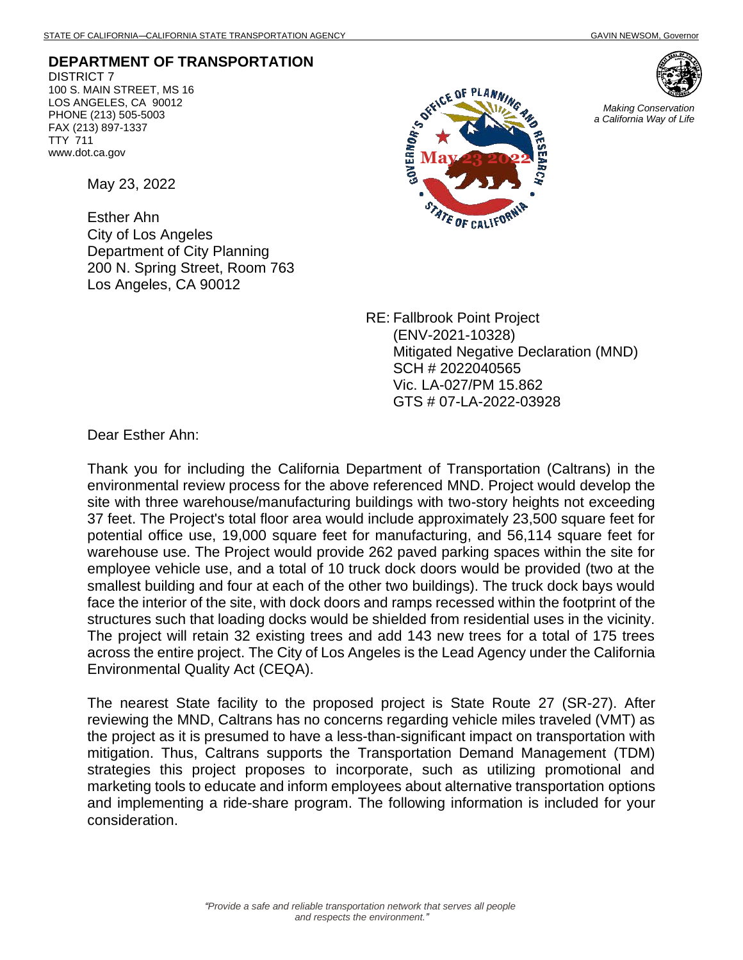**DEPARTMENT OF TRANSPORTATION** DISTRICT 7 100 S. MAIN STREET, MS 16 LOS ANGELES, CA 90012 PHONE (213) 505-5003 FAX (213) 897-1337 TTY 711 www.dot.ca.gov

May 23, 2022

Esther Ahn City of Los Angeles Department of City Planning 200 N. Spring Street, Room 763 Los Angeles, CA 90012





*Making Conservation a California Way of Life*

RE: Fallbrook Point Project (ENV-2021-10328) Mitigated Negative Declaration (MND) SCH # 2022040565 Vic. LA-027/PM 15.862 GTS # 07-LA-2022-03928

Dear Esther Ahn:

Thank you for including the California Department of Transportation (Caltrans) in the environmental review process for the above referenced MND. Project would develop the site with three warehouse/manufacturing buildings with two-story heights not exceeding 37 feet. The Project's total floor area would include approximately 23,500 square feet for potential office use, 19,000 square feet for manufacturing, and 56,114 square feet for warehouse use. The Project would provide 262 paved parking spaces within the site for employee vehicle use, and a total of 10 truck dock doors would be provided (two at the smallest building and four at each of the other two buildings). The truck dock bays would face the interior of the site, with dock doors and ramps recessed within the footprint of the structures such that loading docks would be shielded from residential uses in the vicinity. The project will retain 32 existing trees and add 143 new trees for a total of 175 trees across the entire project. The City of Los Angeles is the Lead Agency under the California Environmental Quality Act (CEQA).

The nearest State facility to the proposed project is State Route 27 (SR-27). After reviewing the MND, Caltrans has no concerns regarding vehicle miles traveled (VMT) as the project as it is presumed to have a less-than-significant impact on transportation with mitigation. Thus, Caltrans supports the Transportation Demand Management (TDM) strategies this project proposes to incorporate, such as utilizing promotional and marketing tools to educate and inform employees about alternative transportation options and implementing a ride-share program. The following information is included for your consideration.